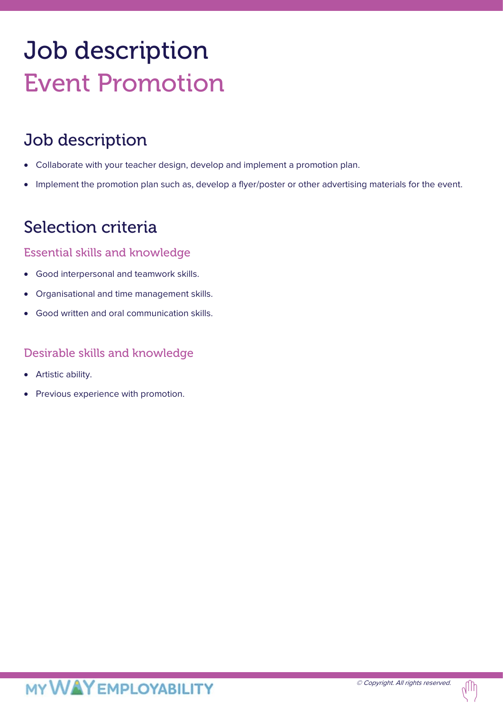# Job description Event Promotion

## Job description

- Collaborate with your teacher design, develop and implement a promotion plan.
- Implement the promotion plan such as, develop a flyer/poster or other advertising materials for the event.

### Selection criteria

#### Essential skills and knowledge

- Good interpersonal and teamwork skills.
- Organisational and time management skills.
- Good written and oral communication skills.

#### Desirable skills and knowledge

- Artistic ability.
- Previous experience with promotion.

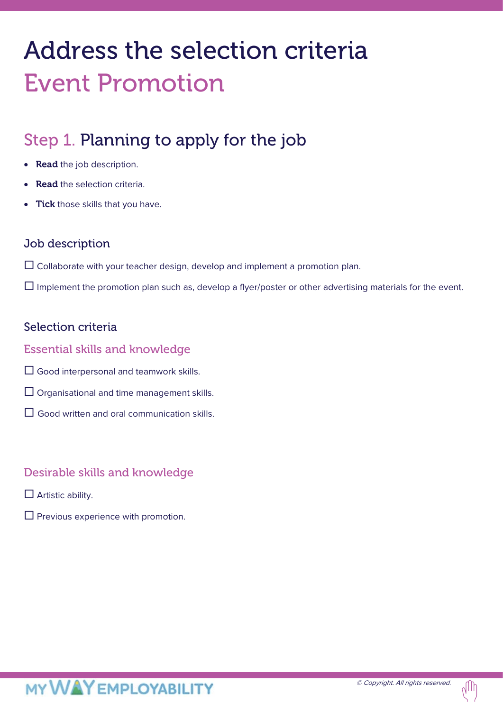## Address the selection criteria Event Promotion

## Step 1. Planning to apply for the job

- Read the job description.
- **Read** the selection criteria.
- **Tick** those skills that you have.

#### Job description

 $\Box$  Collaborate with your teacher design, develop and implement a promotion plan.

 $\Box$  Implement the promotion plan such as, develop a flyer/poster or other advertising materials for the event.

#### Selection criteria

#### Essential skills and knowledge

- Good interpersonal and teamwork skills.
- $\Box$  Organisational and time management skills.
- $\Box$  Good written and oral communication skills.

#### Desirable skills and knowledge

- $\Box$  Artistic ability.
- $\square$  Previous experience with promotion.

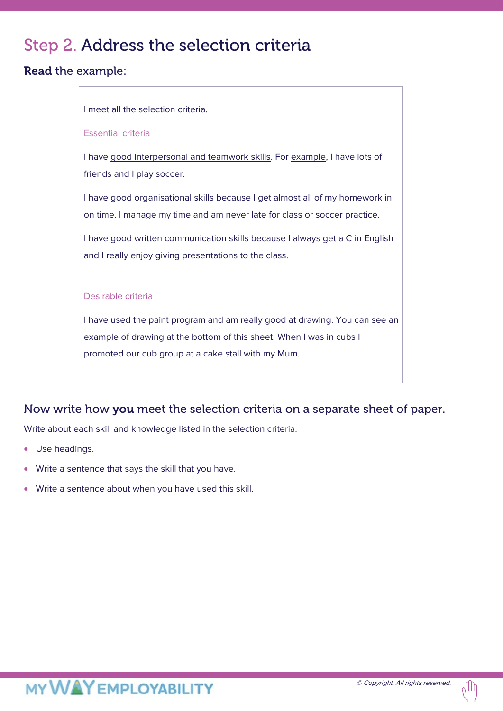## Step 2. Address the selection criteria

#### Read the example:

| I meet all the selection criteria.                                                                       |
|----------------------------------------------------------------------------------------------------------|
|                                                                                                          |
| <b>Essential criteria</b>                                                                                |
| I have good interpersonal and teamwork skills. For example, I have lots of<br>friends and I play soccer. |
| I have good organisational skills because I get almost all of my homework in                             |
| on time. I manage my time and am never late for class or soccer practice.                                |
| I have good written communication skills because I always get a C in English                             |
| and I really enjoy giving presentations to the class.                                                    |
|                                                                                                          |
| Desirable criteria                                                                                       |
| I have used the paint program and am really good at drawing. You can see an                              |
| example of drawing at the bottom of this sheet. When I was in cubs I                                     |
| promoted our cub group at a cake stall with my Mum.                                                      |
|                                                                                                          |

#### Now write how you meet the selection criteria on a separate sheet of paper.

Write about each skill and knowledge listed in the selection criteria.

- Use headings.
- Write a sentence that says the skill that you have.
- Write a sentence about when you have used this skill.

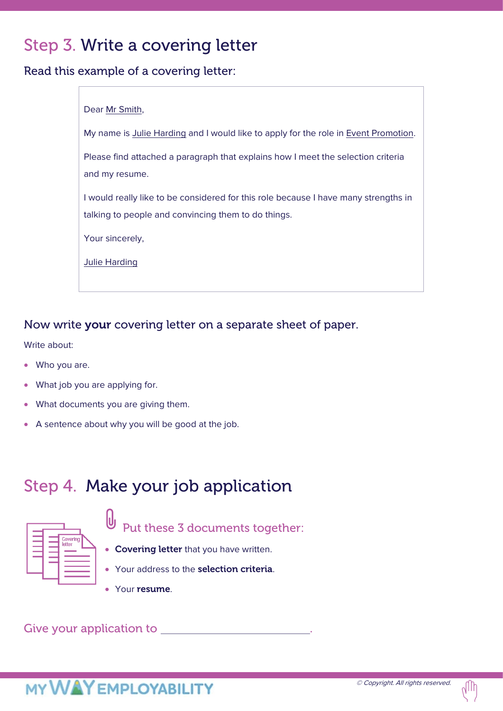## Step 3. Write a covering letter

Read this example of a covering letter:

| Dear Mr Smith,                                                                      |  |  |  |
|-------------------------------------------------------------------------------------|--|--|--|
|                                                                                     |  |  |  |
| My name is Julie Harding and I would like to apply for the role in Event Promotion. |  |  |  |
|                                                                                     |  |  |  |
| Please find attached a paragraph that explains how I meet the selection criteria    |  |  |  |
|                                                                                     |  |  |  |
| and my resume.                                                                      |  |  |  |
|                                                                                     |  |  |  |
| I would really like to be considered for this role because I have many strengths in |  |  |  |
|                                                                                     |  |  |  |
| talking to people and convincing them to do things.                                 |  |  |  |
|                                                                                     |  |  |  |
| Your sincerely,                                                                     |  |  |  |
|                                                                                     |  |  |  |
|                                                                                     |  |  |  |
| <b>Julie Harding</b>                                                                |  |  |  |
|                                                                                     |  |  |  |
|                                                                                     |  |  |  |

#### Now write your covering letter on a separate sheet of paper.

Write about:

- Who you are.
- What job you are applying for.
- What documents you are giving them.
- A sentence about why you will be good at the job.

## Step 4. Make your job application



 $\theta$ Put these 3 documents together:

- Covering letter that you have written.
- Your address to the selection criteria.
- Your resume.

Give your application to **EXECUTE:** A set of the set of the set of the set of the set of the set of the set of the set of the set of the set of the set of the set of the set of the set of the set of the set of the set of t